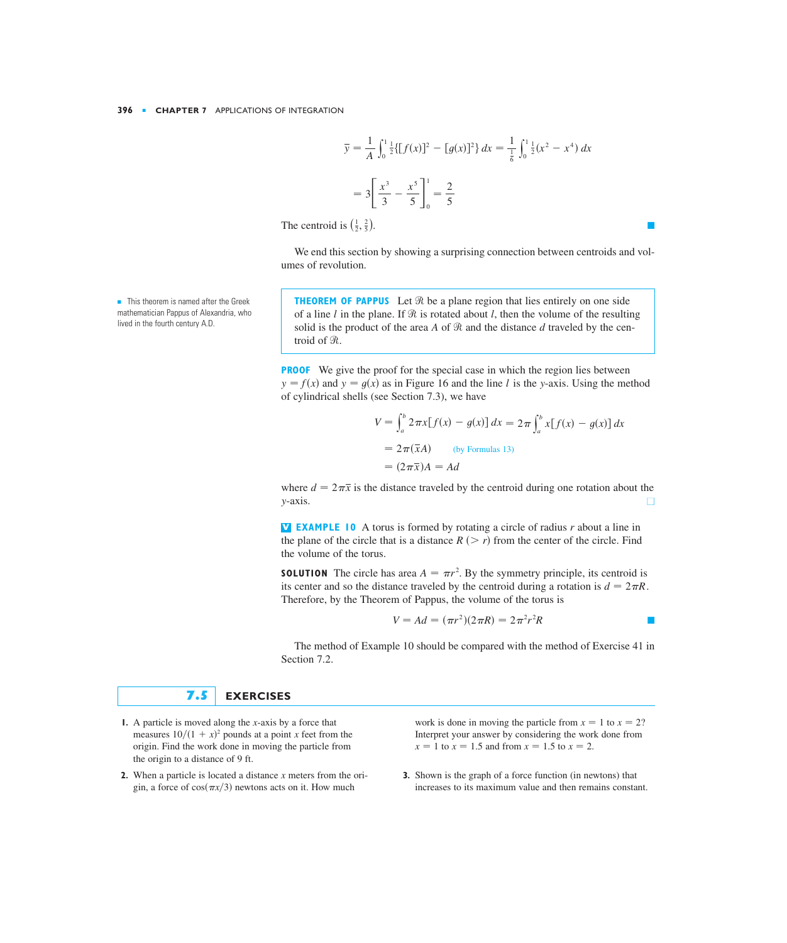$$
\overline{y} = \frac{1}{A} \int_0^1 \frac{1}{2} \{ [f(x)]^2 - [g(x)]^2 \} dx = \frac{1}{\frac{1}{6}} \int_0^1 \frac{1}{2} (x^2 - x^4) dx
$$

$$
= 3 \left[ \frac{x^3}{3} - \frac{x^5}{5} \right]_0^1 = \frac{2}{5}
$$

The centroid is  $(\frac{1}{2}, \frac{2}{5})$ .

We end this section by showing a surprising connection between centroids and volumes of revolution.

**THEOREM OF PAPPUS** Let  $\Re$  be a plane region that lies entirely on one side of a line *l* in the plane. If  $\Re$  is rotated about *l*, then the volume of the resulting solid is the product of the area A of  $\Re$  and the distance d traveled by the centroid of  $\Re$ .

**PROOF** We give the proof for the special case in which the region lies between  $y = f(x)$  and  $y = g(x)$  as in Figure 16 and the line *l* is the *y*-axis. Using the method of cylindrical shells (see Section 7.3), we have

> $= 2\pi(\bar{x}A)$  (by Formulas 13)  $= (2\pi \overline{x})A = Ad$  $=2\pi\int_a^b$  $V = \int_{a}^{b} 2\pi x [f(x) - g(x)] dx = 2\pi \int_{a}^{b} x [f(x) - g(x)] dx$

where  $d = 2\pi \bar{x}$  is the distance traveled by the centroid during one rotation about the  $\blacksquare$ *y*

**V EXAMPLE 10** A torus is formed by rotating a circle of radius  $r$  about a line in the plane of the circle that is a distance  $R$  ( $\geq r$ ) from the center of the circle. Find the volume of the torus.

**SOLUTION** The circle has area  $A = \pi r^2$ . By the symmetry principle, its centroid is its center and so the distance traveled by the centroid during a rotation is  $d = 2\pi R$ . Therefore, by the Theorem of Pappus, the volume of the torus is

$$
V = Ad = (\pi r^2)(2\pi R) = 2\pi^2 r^2 R
$$

The method of Example 10 should be compared with the method of Exercise 41 in Section 7.2.

## **7.5 EXERCISES**

- measures  $10/(1 + x)^2$  pounds at a point x feet from the origin. Find the work done in moving the particle from the origin to a distance of 9 ft. **1.** A particle is moved along the *x*-axis by a force that
- **2.** When a particle is located a distance x meters from the origin, a force of  $cos(\pi x/3)$  newtons acts on it. How much

**1.** A particle is moved along the *x*-axis by a force that *x*  $\frac{1}{2}$  work is done in moving the particle from  $x = 1$  to  $x = 2$ ? Interpret your answer by considering the work done from  $x = 1$  to  $x = 1.5$  and from  $x = 1.5$  to  $x = 2$ .

> **3.** Shown is the graph of a force function (in newtons) that increases to its maximum value and then remains constant.

■ This theorem is named after the Greek mathematician Pappus of Alexandria, who lived in the fourth century A.D.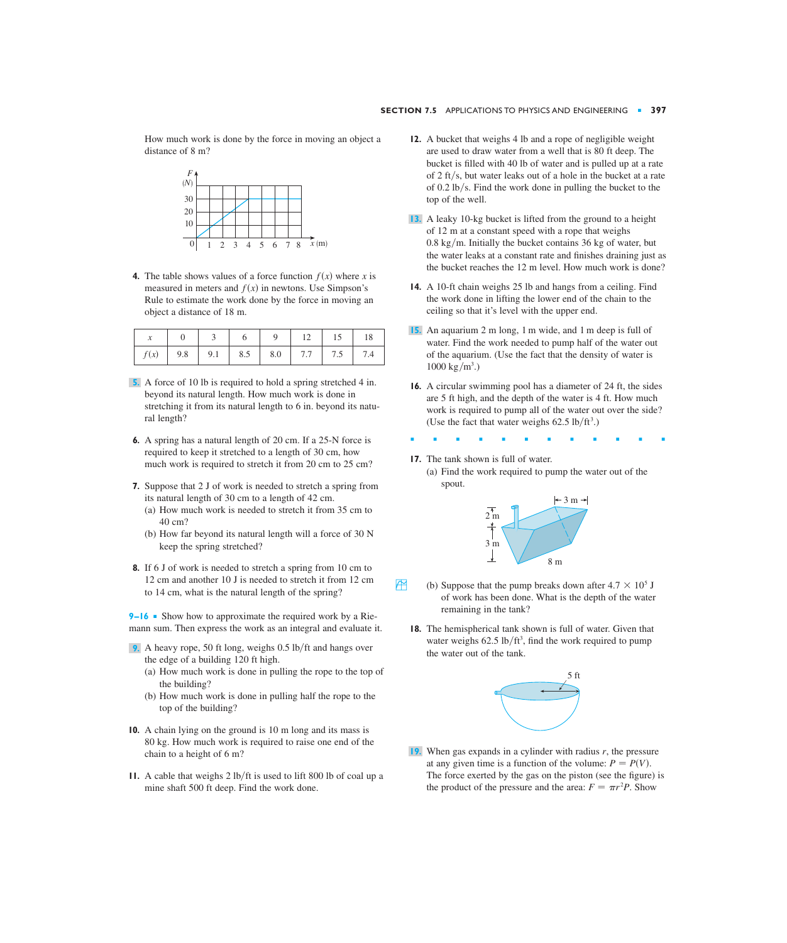How much work is done by the force in moving an object a distance of 8 m?



**4.** The table shows values of a force function  $f(x)$  where x is measured in meters and  $f(x)$  in newtons. Use Simpson's Rule to estimate the work done by the force in moving an object a distance of 18 m.

|  |  |  | $0 \mid 3 \mid 6 \mid 9 \mid 12 \mid 15 \mid 18$ |  |
|--|--|--|--------------------------------------------------|--|
|  |  |  |                                                  |  |

- A force of 10 lb is required to hold a spring stretched 4 in. **5.** beyond its natural length. How much work is done in stretching it from its natural length to 6 in. beyond its natural length?
- **6.** A spring has a natural length of 20 cm. If a 25-N force is required to keep it stretched to a length of 30 cm, how much work is required to stretch it from 20 cm to 25 cm?
- **7.** Suppose that 2 J of work is needed to stretch a spring from its natural length of 30 cm to a length of 42 cm.
	- (a) How much work is needed to stretch it from 35 cm to 40 cm?
	- (b) How far beyond its natural length will a force of 30 N keep the spring stretched?
- **8.** If 6 J of work is needed to stretch a spring from 10 cm to 12 cm and another 10 J is needed to stretch it from 12 cm to 14 cm, what is the natural length of the spring?

**9–16** ■ Show how to approximate the required work by a Riemann sum. Then express the work as an integral and evaluate it.

- **9.** A heavy rope, 50 ft long, weighs 0.5 lb/ft and hangs over the edge of a building 120 ft high.
	- (a) How much work is done in pulling the rope to the top of the building?
	- (b) How much work is done in pulling half the rope to the top of the building?
- **10.** A chain lying on the ground is 10 m long and its mass is 80 kg. How much work is required to raise one end of the chain to a height of 6 m?
- **11.** A cable that weighs 2 lb/ft is used to lift 800 lb of coal up a mine shaft 500 ft deep. Find the work done.
- **12.** A bucket that weighs 4 lb and a rope of negligible weight are used to draw water from a well that is 80 ft deep. The bucket is filled with 40 lb of water and is pulled up at a rate of 2 ft/s, but water leaks out of a hole in the bucket at a rate of  $0.2 \text{ lb/s}$ . Find the work done in pulling the bucket to the top of the well.
- A leaky 10-kg bucket is lifted from the ground to a height **13.** of 12 m at a constant speed with a rope that weighs  $0.8 \text{ kg/m}$ . Initially the bucket contains 36 kg of water, but the water leaks at a constant rate and finishes draining just as the bucket reaches the 12 m level. How much work is done?
- **14.** A 10-ft chain weighs 25 lb and hangs from a ceiling. Find the work done in lifting the lower end of the chain to the ceiling so that it's level with the upper end.
- An aquarium 2 m long, 1 m wide, and 1 m deep is full of **15.** water. Find the work needed to pump half of the water out of the aquarium. (Use the fact that the density of water is  $1000 \text{ kg/m}^3$ .)
- **16.** A circular swimming pool has a diameter of 24 ft, the sides are 5 ft high, and the depth of the water is 4 ft. How much work is required to pump all of the water out over the side? (Use the fact that water weighs  $62.5 \text{ lb/ft}^3$ .)
- ■■■■■■■■■■■■

## **17.** The tank shown is full of water.

(a) Find the work required to pump the water out of the spout.



- (b) Suppose that the pump breaks down after  $4.7 \times 10^5$  J of work has been done. What is the depth of the water remaining in the tank?
	- **18.** The hemispherical tank shown is full of water. Given that water weighs  $62.5 \text{ lb/ft}^3$ , find the work required to pump the water out of the tank.



**19.** When gas expands in a cylinder with radius r, the pressure at any given time is a function of the volume:  $P = P(V)$ . The force exerted by the gas on the piston (see the figure) is the product of the pressure and the area:  $F = \pi r^2 P$ . Show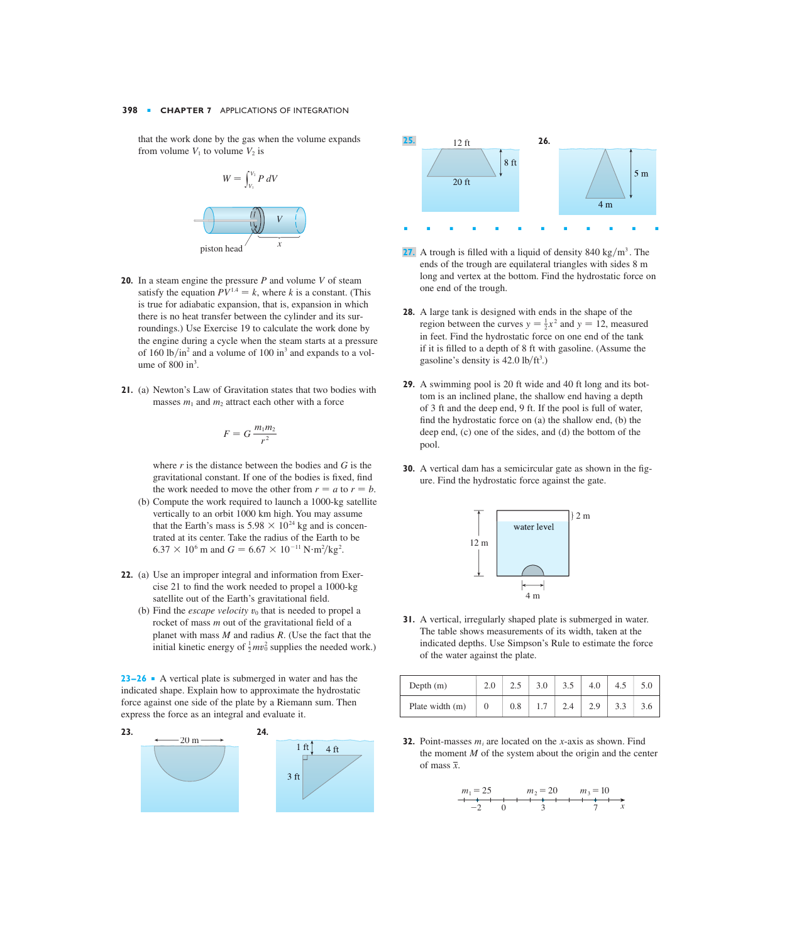that the work done by the gas when the volume expands **25. 25. 22. 12. 11. 12. 12. 12. 12. 12. 12. 12. 12. 12. 12. 12. 12. 12. 12. 12. 12. 12. 12. 12. 12. 12. 12. 12.** from volume  $V_1$  to volume  $V_2$  is



- **20.** In a steam engine the pressure  $P$  and volume  $V$  of steam satisfy the equation  $PV^{1.4} = k$ , where k is a constant. (This is true for adiabatic expansion, that is, expansion in which there is no heat transfer between the cylinder and its surroundings.) Use Exercise 19 to calculate the work done by the engine during a cycle when the steam starts at a pressure of 160 lb/in<sup>2</sup> and a volume of 100 in<sup>3</sup> and expands to a volume of  $800 \text{ in}^3$ .
- **21.** (a) Newton's Law of Gravitation states that two bodies with masses  $m_1$  and  $m_2$  attract each other with a force

$$
F = G \frac{m_1 m_2}{r^2}
$$

where  $r$  is the distance between the bodies and  $G$  is the gravitational constant. If one of the bodies is fixed, find the work needed to move the other from  $r = a$  to  $r = b$ .

- (b) Compute the work required to launch a 1000-kg satellite vertically to an orbit 1000 km high. You may assume that the Earth's mass is  $5.98 \times 10^{24}$  kg and is concentrated at its center. Take the radius of the Earth to be  $6.37 \times 10^6$  m and  $G = 6.67 \times 10^{-11} \,\mathrm{N} \cdot \mathrm{m}^2/\mathrm{kg}^2$ .
- **22.** (a) Use an improper integral and information from Exercise 21 to find the work needed to propel a 1000-kg satellite out of the Earth's gravitational field.
	- (b) Find the *escape velocity*  $v_0$  that is needed to propel a rocket of mass *m* out of the gravitational field of a planet with mass  $M$  and radius  $R$ . (Use the fact that the initial kinetic energy of  $\frac{1}{2}mv_0^2$  supplies the needed work.)

**23–26** ■ A vertical plate is submerged in water and has the indicated shape. Explain how to approximate the hydrostatic force against one side of the plate by a Riemann sum. Then express the force as an integral and evaluate it.





- **27.** A trough is filled with a liquid of density  $840 \text{ kg/m}^3$ . The ends of the trough are equilateral triangles with sides 8 m long and vertex at the bottom. Find the hydrostatic force on one end of the trough.
- **28.** A large tank is designed with ends in the shape of the region between the curves  $y = \frac{1}{2}x^2$  and  $y = 12$ , measured in feet. Find the hydrostatic force on one end of the tank if it is filled to a depth of 8 ft with gasoline. (Assume the gasoline's density is  $42.0$  lb/ft<sup>3</sup>.)
- **29.** A swimming pool is 20 ft wide and 40 ft long and its bottom is an inclined plane, the shallow end having a depth of 3 ft and the deep end, 9 ft. If the pool is full of water, find the hydrostatic force on (a) the shallow end, (b) the deep end, (c) one of the sides, and (d) the bottom of the pool.
- **30.** A vertical dam has a semicircular gate as shown in the figure. Find the hydrostatic force against the gate.



**31.** A vertical, irregularly shaped plate is submerged in water. The table shows measurements of its width, taken at the indicated depths. Use Simpson's Rule to estimate the force of the water against the plate.

| Depth $(m)$     | 2.5 | 3.0 | 3.5 | 4.0 | 4.5 | 5.0 |
|-----------------|-----|-----|-----|-----|-----|-----|
| Plate width (m) | 0.8 |     |     | 2.9 |     | 3.6 |

**32.** Point-masses  $m_i$  are located on the x-axis as shown. Find the moment  $M$  of the system about the origin and the center of mass  $\overline{x}$ .

$$
m_1 = 25 \n m_2 = 20 \n m_3 = 10\n -2 \n 0 \n 3 \n 7 \n x
$$